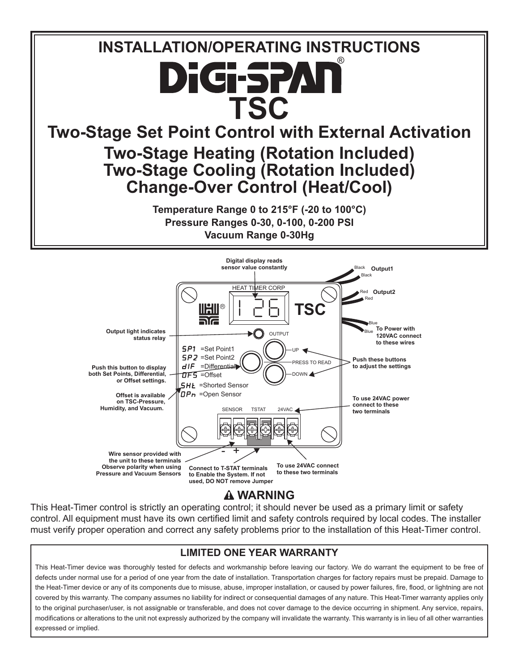



This Heat-Timer control is strictly an operating control; it should never be used as a primary limit or safety control. All equipment must have its own certified limit and safety controls required by local codes. The installer must verify proper operation and correct any safety problems prior to the installation of this Heat-Timer control.

#### **LIMITED ONE YEAR WARRANTY**

This Heat-Timer device was thoroughly tested for defects and workmanship before leaving our factory. We do warrant the equipment to be free of defects under normal use for a period of one year from the date of installation. Transportation charges for factory repairs must be prepaid. Damage to the Heat-Timer device or any of its components due to misuse, abuse, improper installation, or caused by power failures, fire, flood, or lightning are not covered by this warranty. The company assumes no liability for indirect or consequential damages of any nature. This Heat-Timer warranty applies only to the original purchaser/user, is not assignable or transferable, and does not cover damage to the device occurring in shipment. Any service, repairs, modifications or alterations to the unit not expressly authorized by the company will invalidate the warranty. This warranty is in lieu of all other warranties expressed or implied.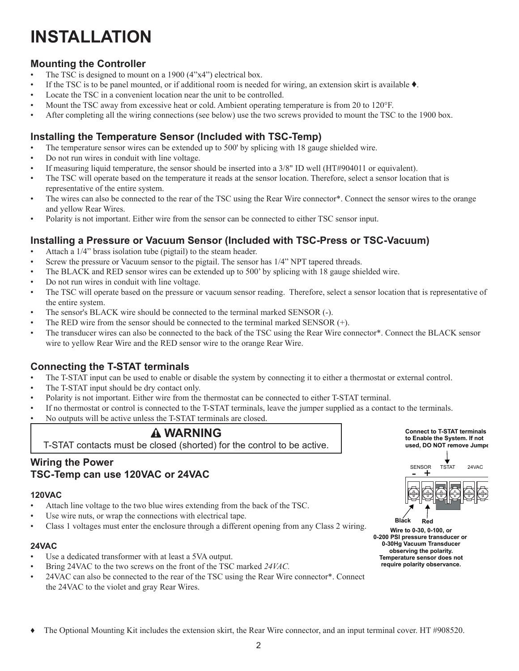### **INSTALLATION**

#### **Mounting the Controller**

- The TSC is designed to mount on a 1900 (4"x4") electrical box.
- If the TSC is to be panel mounted, or if additional room is needed for wiring, an extension skirt is available  $\bullet$ .
- Locate the TSC in a convenient location near the unit to be controlled.
- Mount the TSC away from excessive heat or cold. Ambient operating temperature is from 20 to 120°F.
- After completing all the wiring connections (see below) use the two screws provided to mount the TSC to the 1900 box.

#### **Installing the Temperature Sensor (Included with TSC-Temp)**

- The temperature sensor wires can be extended up to 500' by splicing with 18 gauge shielded wire.
- Do not run wires in conduit with line voltage.
- If measuring liquid temperature, the sensor should be inserted into a 3/8" ID well (HT#904011 or equivalent).
- The TSC will operate based on the temperature it reads at the sensor location. Therefore, select a sensor location that is representative of the entire system.
- The wires can also be connected to the rear of the TSC using the Rear Wire connector<sup>\*</sup>. Connect the sensor wires to the orange and yellow Rear Wires.
- Polarity is not important. Either wire from the sensor can be connected to either TSC sensor input.

#### **Installing a Pressure or Vacuum Sensor (Included with TSC-Press or TSC-Vacuum)**

- Attach a 1/4" brass isolation tube (pigtail) to the steam header.
- Screw the pressure or Vacuum sensor to the pigtail. The sensor has 1/4" NPT tapered threads.
- The BLACK and RED sensor wires can be extended up to 500' by splicing with 18 gauge shielded wire.
- Do not run wires in conduit with line voltage.
- The TSC will operate based on the pressure or vacuum sensor reading. Therefore, select a sensor location that is representative of the entire system.
- The sensor's BLACK wire should be connected to the terminal marked SENSOR (-).
- The RED wire from the sensor should be connected to the terminal marked SENSOR  $(+)$ .
- The transducer wires can also be connected to the back of the TSC using the Rear Wire connector\*. Connect the BLACK sensor wire to yellow Rear Wire and the RED sensor wire to the orange Rear Wire.

#### **Connecting the T-STAT terminals**

- The T-STAT input can be used to enable or disable the system by connecting it to either a thermostat or external control.
- The T-STAT input should be dry contact only.
- Polarity is not important. Either wire from the thermostat can be connected to either T-STAT terminal.
- If no thermostat or control is connected to the T-STAT terminals, leave the jumper supplied as a contact to the terminals.
- No outputs will be active unless the T-STAT terminals are closed.

#### **WARNING**

T-STAT contacts must be closed (shorted) for the control to be active.

#### **Wiring the Power TSC-Temp can use 120VAC or 24VAC**

#### **120VAC**

- Attach line voltage to the two blue wires extending from the back of the TSC.
- Use wire nuts, or wrap the connections with electrical tape.
- Class 1 voltages must enter the enclosure through a different opening from any Class 2 wiring.

#### **24VAC**

- Use a dedicated transformer with at least a 5VA output.
- Bring 24VAC to the two screws on the front of the TSC marked *24VAC.*
- 24VAC can also be connected to the rear of the TSC using the Rear Wire connector\*. Connect the 24VAC to the violet and gray Rear Wires.

SENSOR TSTAT 24VAC <u>- +</u> **Connect to T-STAT terminals to Enable the System. If not used, DO NOT remove Jumper** 

**Wire to 0-30, 0-100, or 0-200 PSI pressure transducer or 0-30Hg Vacuum Transducer observing the polarity. Temperature sensor does not require polarity observance. Black Red**

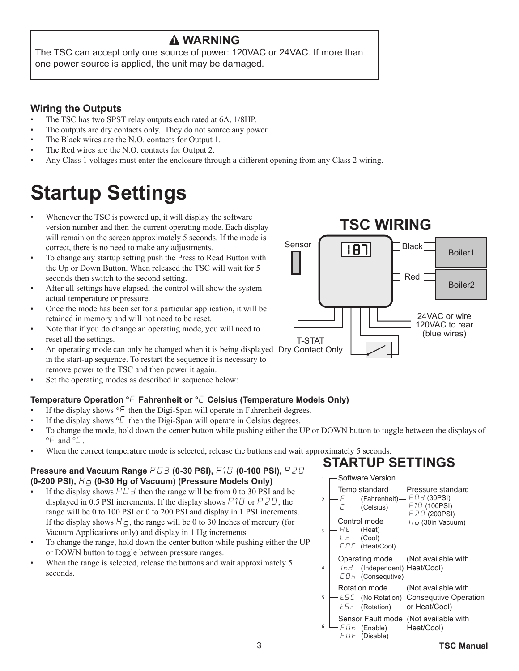#### **WARNING**

The TSC can accept only one source of power: 120VAC or 24VAC. If more than one power source is applied, the unit may be damaged.

#### **Wiring the Outputs**

- The TSC has two SPST relay outputs each rated at 6A, 1/8HP.
- The outputs are dry contacts only. They do not source any power.
- The Black wires are the N.O. contacts for Output 1.
- The Red wires are the N.O. contacts for Output 2.
- Any Class 1 voltages must enter the enclosure through a different opening from any Class 2 wiring.

## **Startup Settings**

- Whenever the TSC is powered up, it will display the software version number and then the current operating mode. Each display will remain on the screen approximately 5 seconds. If the mode is correct, there is no need to make any adjustments.
- To change any startup setting push the Press to Read Button with the Up or Down Button. When released the TSC will wait for 5 seconds then switch to the second setting.
- After all settings have elapsed, the control will show the system actual temperature or pressure.
- Once the mode has been set for a particular application, it will be retained in memory and will not need to be reset.
- Note that if you do change an operating mode, you will need to reset all the settings.
- An operating mode can only be changed when it is being displayed Dry Contact Only in the start-up sequence. To restart the sequence it is necessary to remove power to the TSC and then power it again.
- Set the operating modes as described in sequence below:

#### **Temperature Operation °**F **Fahrenheit or °**C **Celsius (Temperature Models Only)**

- If the display shows  ${}^{\circ}F$  then the Digi-Span will operate in Fahrenheit degrees.
- If the display shows  ${}^{\circ}\mathcal{L}$  then the Digi-Span will operate in Celsius degrees.
- To change the mode, hold down the center button while pushing either the UP or DOWN button to toggle between the displays of  $\degree$ F and  $\degree$ C.
- When the correct temperature mode is selected, release the buttons and wait approximately 5 seconds.

#### **Pressure and Vacuum Range** P03 **(0-30 PSI),** P10 **(0-100 PSI),** P20 **(0-200 PSI),** Hg **(0-30 Hg of Vacuum) (Pressure Models Only)**

- If the display shows  $P \Box \Box$  then the range will be from 0 to 30 PSI and be displayed in 0.5 PSI increments. If the display shows  $P1D$  or  $P2D$ , the range will be 0 to 100 PSI or 0 to 200 PSI and display in 1 PSI increments. If the display shows  $H\mathbf{g}$ , the range will be 0 to 30 Inches of mercury (for Vacuum Applications only) and display in 1 Hg increments
- To change the range, hold down the center button while pushing either the UP or DOWN button to toggle between pressure ranges.
- When the range is selected, release the buttons and wait approximately 5 seconds.



### **STARTUP SETTINGS**

1 **— Software Version** 

| PSI and be       |                | Temp standard                         | Pressure standard                        |
|------------------|----------------|---------------------------------------|------------------------------------------|
| $PZL$ , the      | $\overline{2}$ |                                       | (Fahrenheit) - PD3 (30PSI)               |
| I increments.    |                | (Celsius)                             | P <sub>1</sub> D <sub>(100PSI)</sub>     |
| ercury (for      |                | Control mode                          | P 2D (200PSI)<br>$Hq$ (30in Vacuum)      |
|                  | 3              | (Heat)<br>HŁ.                         |                                          |
| ng either the UP |                | Сo<br>(Cool)                          |                                          |
|                  |                | LOC (Heat/Cool)                       |                                          |
|                  |                | Operating mode (Not available with    |                                          |
| ximately 5       | 4              | Ind (Independent) Heat/Cool)          |                                          |
|                  |                | $L \Box n$ (Consequtive)              |                                          |
|                  |                | Rotation mode                         | (Not available with                      |
|                  | 5              |                                       | $L5L$ (No Rotation) Consequive Operation |
|                  |                | $E5 - (Rotation)$                     | or Heat/Cool)                            |
|                  |                | Sensor Fault mode (Not available with |                                          |
|                  | 6              | - F D n (Enable)                      | Heat/Cool)                               |
|                  |                | FDF (Disable)                         |                                          |
| 3                |                |                                       | TSC Manual                               |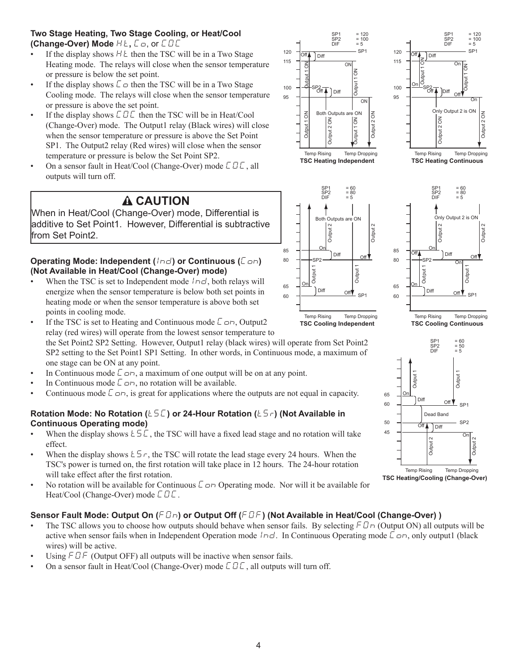#### **Two Stage Heating, Two Stage Cooling, or Heat/Cool (Change-Over) Mode**  $Ht$ ,  $\mathcal{L}$   $\sigma$ , or  $\mathcal{L} \mathcal{L} \mathcal{L}$

- If the display shows  $H \varepsilon$  then the TSC will be in a Two Stage Heating mode. The relays will close when the sensor temperature or pressure is below the set point.
- If the display shows  $\mathcal{L}$   $\sigma$  then the TSC will be in a Two Stage Cooling mode. The relays will close when the sensor temperature or pressure is above the set point.
- If the display shows  $\Box$   $\Box$   $\Box$  then the TSC will be in Heat/Cool (Change-Over) mode. The Output1 relay (Black wires) will close when the sensor temperature or pressure is above the Set Point SP1. The Output2 relay (Red wires) will close when the sensor temperature or pressure is below the Set Point SP2.
- On a sensor fault in Heat/Cool (Change-Over) mode  $\mathcal{L} \mathcal{L}$ , all outputs will turn off.

### **CAUTION**

When in Heat/Cool (Change-Over) mode, Differential is additive to Set Point1. However, Differential is subtractive from Set Point2.

#### **Operating Mode: Independent (** $Ind$ **) or Continuous (** $Con$ **) (Not Available in Heat/Cool (Change-Over) mode)**

- When the TSC is set to Independent mode  $l \nabla d$ , both relays will energize when the sensor temperature is below both set points in heating mode or when the sensor temperature is above both set points in cooling mode.
- If the TSC is set to Heating and Continuous mode  $\epsilon$   $\sigma$ n, Output2 relay (red wires) will operate from the lowest sensor temperature to the Set Point2 SP2 Setting. However, Output1 relay (black wires) will operate from Set Point2 SP2 setting to the Set Point1 SP1 Setting. In other words, in Continuous mode, a maximum of
- one stage can be ON at any point. In Continuous mode  $\epsilon$  on, a maximum of one output will be on at any point.
- In Continuous mode  $\mathcal{L}_{\square}$ , no rotation will be available.
- Continuous mode  $\epsilon$   $\sigma$ , is great for applications where the outputs are not equal in capacity.

#### **Rotation Mode: No Rotation (** $t 5\,\text{L}$  **) or 24-Hour Rotation (** $t 5\,\text{L}$  **) (Not Available in Continuous Operating mode)**

- When the display shows  $\angle 5\mathcal{L}$ , the TSC will have a fixed lead stage and no rotation will take effect. • When the display shows  $\leq 5$  c, the TSC will rotate the lead stage every 24 hours. When the When the display shows  $\leq 5$  c, the TSC will rotate the lead stage every 24 hours. When the
- TSC's power is turned on, the first rotation will take place in 12 hours. The 24-hour rotation will take effect after the first rotation. **TSC Heating/Cooling (Change-Over)**
- No rotation will be available for Continuous  $\mathcal{L}_{\Omega}$  Operating mode. Nor will it be available for Heat/Cool (Change-Over) mode  $\Box$   $\Box$   $\Box$ .

#### **Sensor Fault Mode: Output On (FIn) or Output Off (FIF) (Not Available in Heat/Cool (Change-Over))**

- The TSC allows you to choose how outputs should behave when sensor fails. By selecting  $FD \cap$  (Output ON) all outputs will be active when sensor fails when in Independent Operation mode  $l \nvert d$ . In Continuous Operating mode  $\zeta$   $\sigma$ , only output1 (black wires) will be active.
- Using  $F \mathbb{D} F$  (Output OFF) all outputs will be inactive when sensor fails.
- On a sensor fault in Heat/Cool (Change-Over) mode  $\mathcal{L} \mathcal{L}$ , all outputs will turn off.







SP1 = 120 SP2 <sup>=</sup> <sup>100</sup> DIF <sup>=</sup> <sup>5</sup> SP1 = 120 SP2 <sup>=</sup> <sup>100</sup> DIF <sup>=</sup> <sup>5</sup>

On

 $\bigcup_{i=1}^{\infty}$   $\bigcup_{i=1}^{\infty}$   $\bigcup_{i=1}^{\infty}$   $\bigcup_{i=1}^{\infty}$   $\bigcup_{i=1}^{\infty}$   $\bigcup_{i=1}^{\infty}$   $\bigcup_{i=1}^{\infty}$   $\bigcup_{i=1}^{\infty}$   $\bigcup_{i=1}^{\infty}$   $\bigcup_{i=1}^{\infty}$   $\bigcup_{i=1}^{\infty}$   $\bigcup_{i=1}^{\infty}$   $\bigcup_{i=1}^{\infty}$   $\bigcup_{i=1}^{\infty$ 

Off

of<br>Of

Diff

t.

Diff

Output 1 ON

On

 $\overline{O}$   $\overline{O}$   $\overline{O}$   $\overline{O}$   $\overline{O}$   $\overline{O}$   $\overline{O}$   $\overline{O}$   $\overline{O}$   $\overline{O}$   $\overline{O}$   $\overline{O}$   $\overline{O}$   $\overline{O}$   $\overline{O}$   $\overline{O}$   $\overline{O}$   $\overline{O}$   $\overline{O}$   $\overline{O}$   $\overline{O}$   $\overline{O}$   $\overline{O}$   $\overline{O}$   $\overline{$ 

 $\overline{\mathcal{S}}$   $\mathcal{S}$   $\mathcal{S}$   $\mathcal{S}$   $\mathcal{S}$   $\mathcal{S}$   $\mathcal{S}$   $\mathcal{S}$   $\mathcal{S}$   $\mathcal{S}$   $\mathcal{S}$   $\mathcal{S}$   $\mathcal{S}$   $\mathcal{S}$   $\mathcal{S}$   $\mathcal{S}$   $\mathcal{S}$   $\mathcal{S}$   $\mathcal{S}$   $\mathcal{S}$   $\mathcal{S}$   $\mathcal{S}$   $\mathcal{S}$   $\mathcal{S}$   $\$ 

 $\overline{\phantom{0}}$  SP1

120

115

100

On

 $\overline{1}$  O<sub>1</sub>

Output 1 ON

is.

95



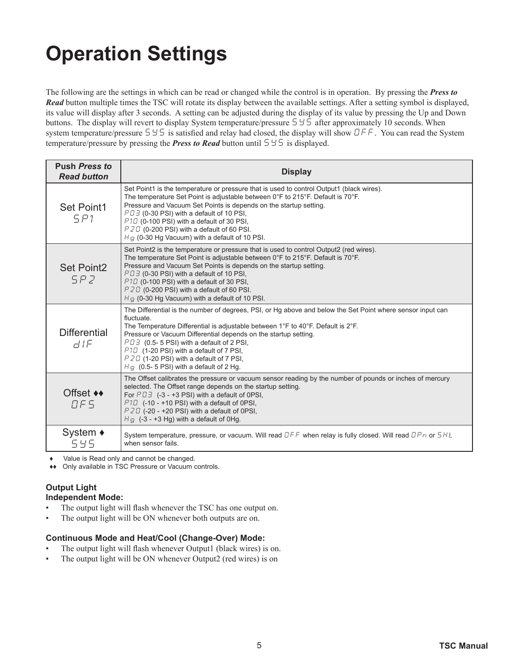# **Operation Settings**

The following are the settings in which can be read or changed while the control is in operation. By pressing the *Press to Read* button multiple times the TSC will rotate its display between the available settings. After a setting symbol is displayed, its value will display after 3 seconds. A setting can be adjusted during the display of its value by pressing the Up and Down buttons. The display will revert to display System temperature/pressure  $5\pm 5$  after approximately 10 seconds. When system temperature/pressure  $5\frac{1}{5}$  is satisfied and relay had closed, the display will show  $\overline{OFE}$ . You can read the System temperature/pressure by pressing the **Press to Read** button until  $5 \n\leq 5$  is displayed.

| <b>Push Press to</b><br><b>Read button</b> | <b>Display</b>                                                                                                                                                                                                                                                                                                                                                                                                                                                                |
|--------------------------------------------|-------------------------------------------------------------------------------------------------------------------------------------------------------------------------------------------------------------------------------------------------------------------------------------------------------------------------------------------------------------------------------------------------------------------------------------------------------------------------------|
| Set Point1<br>5P1                          | Set Point1 is the temperature or pressure that is used to control Output1 (black wires).<br>The temperature Set Point is adjustable between 0°F to 215°F. Default is 70°F.<br>Pressure and Vacuum Set Points is depends on the startup setting.<br>$P \Box \exists$ (0-30 PSI) with a default of 10 PSI,<br>P1D (0-100 PSI) with a default of 30 PSI,<br>$PZU$ (0-200 PSI) with a default of 60 PSI.<br>$H_G$ (0-30 Hg Vacuum) with a default of 10 PSI.                      |
| <b>Set Point2</b><br>SPZ                   | Set Point2 is the temperature or pressure that is used to control Output2 (red wires).<br>The temperature Set Point is adjustable between $0^{\circ}$ F to 215 $^{\circ}$ F. Default is 70 $^{\circ}$ F.<br>Pressure and Vacuum Set Points is depends on the startup setting.<br>PD3 (0-30 PSI) with a default of 10 PSI,<br>$P1D$ (0-100 PSI) with a default of 30 PSI,<br>$PZU$ (0-200 PSI) with a default of 60 PSI.<br>$HQ$ (0-30 Hg Vacuum) with a default of 10 PSI.    |
| <b>Differential</b><br>$d$ IF              | The Differential is the number of degrees, PSI, or Hg above and below the Set Point where sensor input can<br>fluctuate.<br>The Temperature Differential is adjustable between 1°F to 40°F. Default is 2°F.<br>Pressure or Vacuum Differential depends on the startup setting.<br>$P \Box \exists$ (0.5- 5 PSI) with a default of 2 PSI,<br>P10 (1-20 PSI) with a default of 7 PSI,<br>$PZD$ (1-20 PSI) with a default of 7 PSI,<br>$HQ$ (0.5- 5 PSI) with a default of 2 Hg. |
| Offset <b>◆</b><br>DFS                     | The Offset calibrates the pressure or vacuum sensor reading by the number of pounds or inches of mercury<br>selected. The Offset range depends on the startup setting.<br>For $P \Box \exists$ (-3 - +3 PSI) with a default of 0PSI,<br>$P1D$ (-10 - +10 PSI) with a default of 0PSI,<br>$PZD$ (-20 - +20 PSI) with a default of 0PSI.<br>$HQ$ (-3 - +3 Hg) with a default of 0Hg.                                                                                            |
| System $\triangle$<br>545                  | System temperature, pressure, or vacuum. Will read $DFF$ when relay is fully closed. Will read $BPDn$ or $SHE$<br>when sensor fails.                                                                                                                                                                                                                                                                                                                                          |

Value is Read only and cannot be changed.

♦♦ Only available in TSC Pressure or Vacuum controls.

#### **Output Light Independent Mode:**

- The output light will flash whenever the TSC has one output on.
- The output light will be ON whenever both outputs are on.

#### **Continuous Mode and Heat/Cool (Change-Over) Mode:**

- The output light will flash whenever Output1 (black wires) is on.
- The output light will be ON whenever Output2 (red wires) is on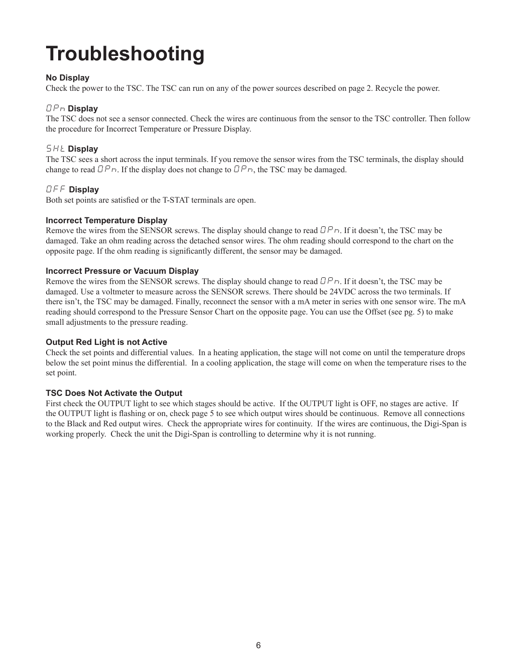# **Troubleshooting**

#### **No Display**

Check the power to the TSC. The TSC can run on any of the power sources described on page 2. Recycle the power.

#### OPn **Display**

The TSC does not see a sensor connected. Check the wires are continuous from the sensor to the TSC controller. Then follow the procedure for Incorrect Temperature or Pressure Display.

#### SHt **Display**

The TSC sees a short across the input terminals. If you remove the sensor wires from the TSC terminals, the display should change to read  $\Box P_{\Box}$ . If the display does not change to  $\Box P_{\Box}$ , the TSC may be damaged.

#### OFF **Display**

Both set points are satisfied or the T-STAT terminals are open.

#### **Incorrect Temperature Display**

Remove the wires from the SENSOR screws. The display should change to read  $\Box P_{D}$ . If it doesn't, the TSC may be damaged. Take an ohm reading across the detached sensor wires. The ohm reading should correspond to the chart on the opposite page. If the ohm reading is significantly different, the sensor may be damaged.

#### **Incorrect Pressure or Vacuum Display**

Remove the wires from the SENSOR screws. The display should change to read  $\Box P_{D}$ . If it doesn't, the TSC may be damaged. Use a voltmeter to measure across the SENSOR screws. There should be 24VDC across the two terminals. If there isn't, the TSC may be damaged. Finally, reconnect the sensor with a mA meter in series with one sensor wire. The mA reading should correspond to the Pressure Sensor Chart on the opposite page. You can use the Offset (see pg. 5) to make small adjustments to the pressure reading.

#### **Output Red Light is not Active**

Check the set points and differential values. In a heating application, the stage will not come on until the temperature drops below the set point minus the differential. In a cooling application, the stage will come on when the temperature rises to the set point.

#### **TSC Does Not Activate the Output**

First check the OUTPUT light to see which stages should be active. If the OUTPUT light is OFF, no stages are active. If the OUTPUT light is flashing or on, check page 5 to see which output wires should be continuous. Remove all connections to the Black and Red output wires. Check the appropriate wires for continuity. If the wires are continuous, the Digi-Span is working properly. Check the unit the Digi-Span is controlling to determine why it is not running.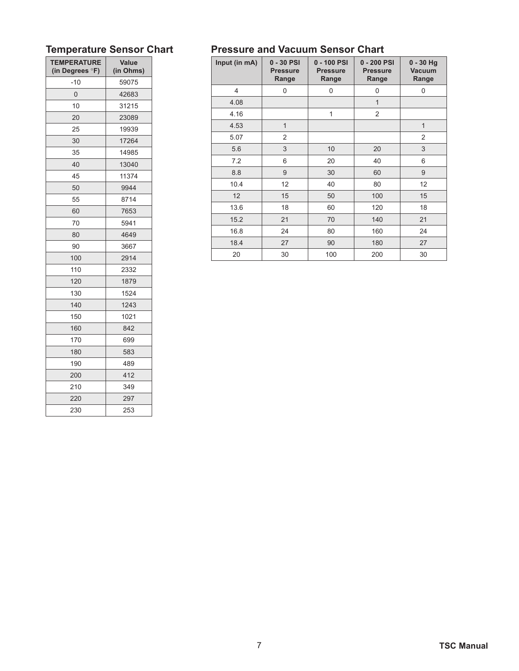| <b>TEMPERATURE</b><br>(in Degrees °F) | Value<br>(in Ohms) |  |
|---------------------------------------|--------------------|--|
| $-10$                                 | 59075              |  |
| 0                                     | 42683              |  |
| 10                                    | 31215              |  |
| 20                                    | 23089              |  |
| 25                                    | 19939              |  |
| 30                                    | 17264              |  |
| 35                                    | 14985              |  |
| 40                                    | 13040              |  |
| 45                                    | 11374              |  |
| 50                                    | 9944               |  |
| 55                                    | 8714               |  |
| 60                                    | 7653               |  |
| 70                                    | 5941               |  |
| 80                                    | 4649               |  |
| 90                                    | 3667               |  |
| 100                                   | 2914               |  |
| 110                                   | 2332               |  |
| 120                                   | 1879               |  |
| 130                                   | 1524               |  |
| 140                                   | 1243               |  |
| 150                                   | 1021               |  |
| 160                                   | 842                |  |
| 170                                   | 699                |  |
| 180                                   | 583                |  |
| 190                                   | 489                |  |
| 200                                   | 412                |  |
| 210                                   | 349                |  |
| 220                                   | 297                |  |
| 230                                   | 253                |  |

#### **Temperature Sensor Chart Pressure and Vacuum Sensor Chart**

| Input (in mA) | 0 - 30 PSI<br><b>Pressure</b><br>Range | 0 - 100 PSI<br><b>Pressure</b><br>Range | 0 - 200 PSI<br><b>Pressure</b><br>Range | $0 - 30$ Hg<br><b>Vacuum</b><br>Range |
|---------------|----------------------------------------|-----------------------------------------|-----------------------------------------|---------------------------------------|
| 4             | 0                                      | 0                                       | 0                                       | 0                                     |
| 4.08          |                                        |                                         | $\overline{1}$                          |                                       |
| 4.16          |                                        | 1                                       | $\overline{2}$                          |                                       |
| 4.53          | $\overline{1}$                         |                                         |                                         | $\mathbf{1}$                          |
| 5.07          | $\overline{2}$                         |                                         |                                         | 2                                     |
| 5.6           | 3                                      | 10                                      | 20                                      | 3                                     |
| 7.2           | 6                                      | 20                                      | 40                                      | 6                                     |
| 8.8           | 9                                      | 30                                      | 60                                      | 9                                     |
| 10.4          | 12                                     | 40                                      | 80                                      | 12                                    |
| 12            | 15                                     | 50                                      | 100                                     | 15                                    |
| 13.6          | 18                                     | 60                                      | 120                                     | 18                                    |
| 15.2          | 21                                     | 70                                      | 140                                     | 21                                    |
| 16.8          | 24                                     | 80                                      | 160                                     | 24                                    |
| 18.4          | 27                                     | 90                                      | 180                                     | 27                                    |
| 20            | 30                                     | 100                                     | 200                                     | 30                                    |